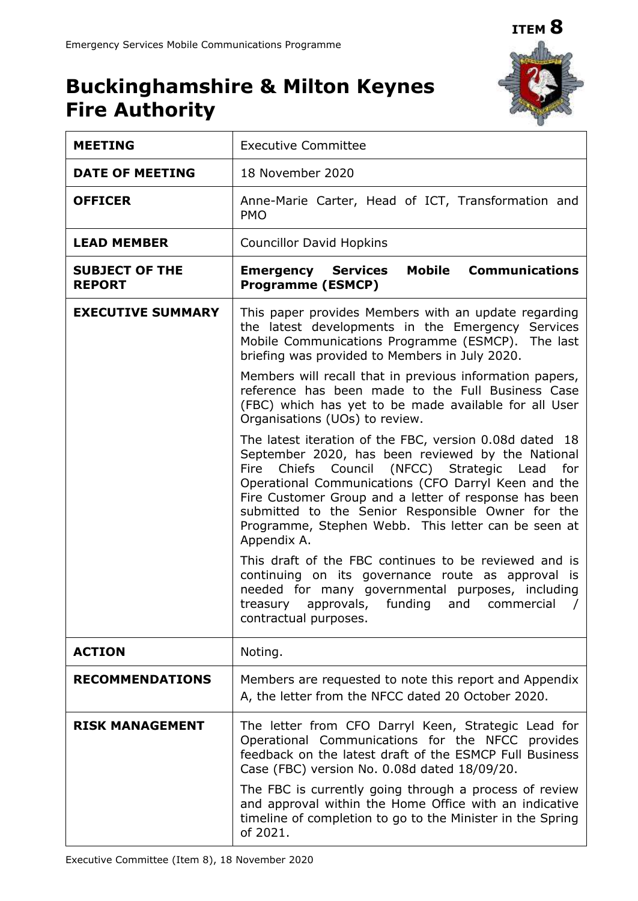

# **Buckinghamshire & Milton Keynes Fire Authority**

| <b>MEETING</b>                         | <b>Executive Committee</b>                                                                                                                                                                                                                                                                                                                                                                                           |
|----------------------------------------|----------------------------------------------------------------------------------------------------------------------------------------------------------------------------------------------------------------------------------------------------------------------------------------------------------------------------------------------------------------------------------------------------------------------|
| <b>DATE OF MEETING</b>                 | 18 November 2020                                                                                                                                                                                                                                                                                                                                                                                                     |
| <b>OFFICER</b>                         | Anne-Marie Carter, Head of ICT, Transformation and<br><b>PMO</b>                                                                                                                                                                                                                                                                                                                                                     |
| <b>LEAD MEMBER</b>                     | <b>Councillor David Hopkins</b>                                                                                                                                                                                                                                                                                                                                                                                      |
| <b>SUBJECT OF THE</b><br><b>REPORT</b> | Mobile<br><b>Communications</b><br><b>Emergency Services</b><br><b>Programme (ESMCP)</b>                                                                                                                                                                                                                                                                                                                             |
| <b>EXECUTIVE SUMMARY</b>               | This paper provides Members with an update regarding<br>the latest developments in the Emergency Services<br>Mobile Communications Programme (ESMCP). The last<br>briefing was provided to Members in July 2020.                                                                                                                                                                                                     |
|                                        | Members will recall that in previous information papers,<br>reference has been made to the Full Business Case<br>(FBC) which has yet to be made available for all User<br>Organisations (UOs) to review.                                                                                                                                                                                                             |
|                                        | The latest iteration of the FBC, version 0.08d dated 18<br>September 2020, has been reviewed by the National<br>Council<br>(NFCC) Strategic Lead<br>Fire<br>Chiefs<br>for<br>Operational Communications (CFO Darryl Keen and the<br>Fire Customer Group and a letter of response has been<br>submitted to the Senior Responsible Owner for the<br>Programme, Stephen Webb. This letter can be seen at<br>Appendix A. |
|                                        | This draft of the FBC continues to be reviewed and is<br>continuing on its governance route as approval is<br>needed for many governmental purposes, including<br>approvals, funding and commercial<br>treasury<br>contractual purposes.                                                                                                                                                                             |
| <b>ACTION</b>                          | Noting.                                                                                                                                                                                                                                                                                                                                                                                                              |
| <b>RECOMMENDATIONS</b>                 | Members are requested to note this report and Appendix<br>A, the letter from the NFCC dated 20 October 2020.                                                                                                                                                                                                                                                                                                         |
| <b>RISK MANAGEMENT</b>                 | The letter from CFO Darryl Keen, Strategic Lead for<br>Operational Communications for the NFCC provides<br>feedback on the latest draft of the ESMCP Full Business<br>Case (FBC) version No. 0.08d dated 18/09/20.                                                                                                                                                                                                   |
|                                        | The FBC is currently going through a process of review<br>and approval within the Home Office with an indicative<br>timeline of completion to go to the Minister in the Spring<br>of 2021.                                                                                                                                                                                                                           |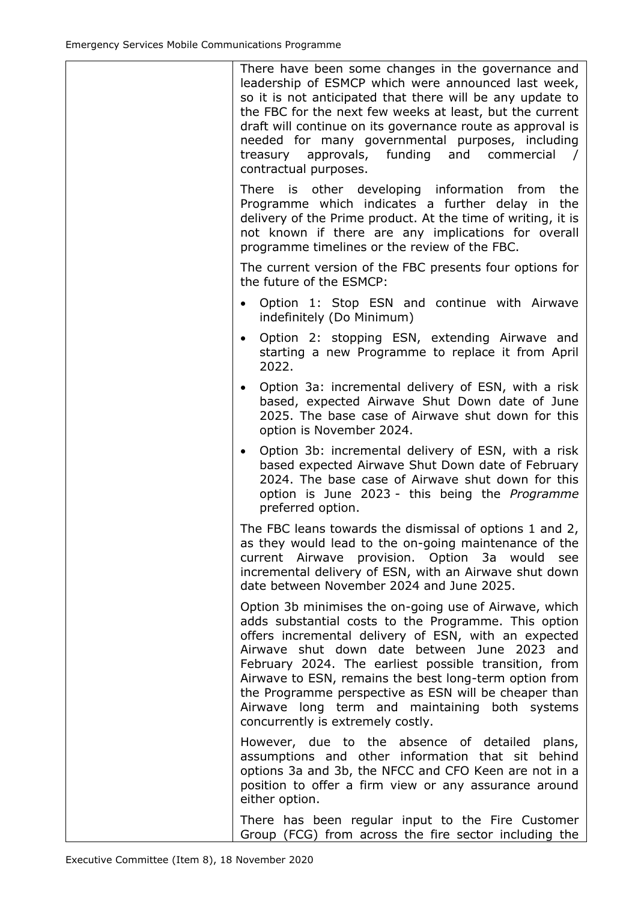| There have been some changes in the governance and<br>leadership of ESMCP which were announced last week,<br>so it is not anticipated that there will be any update to<br>the FBC for the next few weeks at least, but the current<br>draft will continue on its governance route as approval is<br>needed for many governmental purposes, including<br>approvals, funding and commercial<br>treasury<br>$\prime$<br>contractual purposes.                                                |
|-------------------------------------------------------------------------------------------------------------------------------------------------------------------------------------------------------------------------------------------------------------------------------------------------------------------------------------------------------------------------------------------------------------------------------------------------------------------------------------------|
| There is other developing information from<br>the<br>Programme which indicates a further delay in the<br>delivery of the Prime product. At the time of writing, it is<br>not known if there are any implications for overall<br>programme timelines or the review of the FBC.                                                                                                                                                                                                             |
| The current version of the FBC presents four options for<br>the future of the ESMCP:                                                                                                                                                                                                                                                                                                                                                                                                      |
| Option 1: Stop ESN and continue with Airwave<br>indefinitely (Do Minimum)                                                                                                                                                                                                                                                                                                                                                                                                                 |
| Option 2: stopping ESN, extending Airwave and<br>$\bullet$<br>starting a new Programme to replace it from April<br>2022.                                                                                                                                                                                                                                                                                                                                                                  |
| Option 3a: incremental delivery of ESN, with a risk<br>$\bullet$<br>based, expected Airwave Shut Down date of June<br>2025. The base case of Airwave shut down for this<br>option is November 2024.                                                                                                                                                                                                                                                                                       |
| Option 3b: incremental delivery of ESN, with a risk<br>$\bullet$<br>based expected Airwave Shut Down date of February<br>2024. The base case of Airwaye shut down for this<br>option is June 2023 - this being the Programme<br>preferred option.                                                                                                                                                                                                                                         |
| The FBC leans towards the dismissal of options 1 and 2,<br>as they would lead to the on-going maintenance of the<br>current Airwave provision. Option 3a would<br>see<br>incremental delivery of ESN, with an Airwave shut down<br>date between November 2024 and June 2025.                                                                                                                                                                                                              |
| Option 3b minimises the on-going use of Airwave, which<br>adds substantial costs to the Programme. This option<br>offers incremental delivery of ESN, with an expected<br>Airwave shut down date between June 2023 and<br>February 2024. The earliest possible transition, from<br>Airwave to ESN, remains the best long-term option from<br>the Programme perspective as ESN will be cheaper than<br>Airwave long term and maintaining both systems<br>concurrently is extremely costly. |
| However, due to the absence of detailed plans,<br>assumptions and other information that sit behind<br>options 3a and 3b, the NFCC and CFO Keen are not in a<br>position to offer a firm view or any assurance around<br>either option.                                                                                                                                                                                                                                                   |
| There has been regular input to the Fire Customer<br>Group (FCG) from across the fire sector including the                                                                                                                                                                                                                                                                                                                                                                                |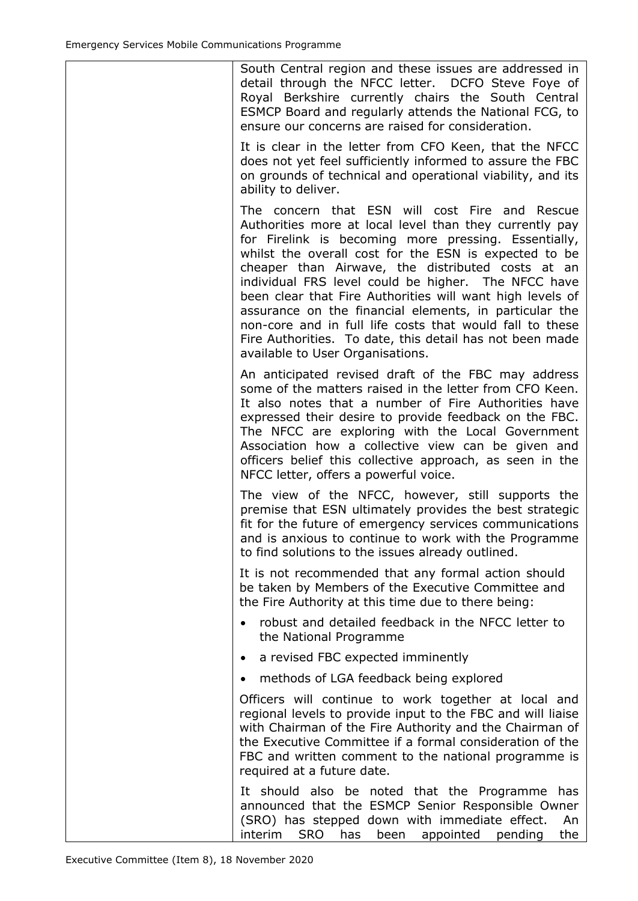| South Central region and these issues are addressed in<br>detail through the NFCC letter. DCFO Steve Foye of<br>Royal Berkshire currently chairs the South Central<br>ESMCP Board and regularly attends the National FCG, to<br>ensure our concerns are raised for consideration.                                                                                                                                                                                                                                                                                                                                         |
|---------------------------------------------------------------------------------------------------------------------------------------------------------------------------------------------------------------------------------------------------------------------------------------------------------------------------------------------------------------------------------------------------------------------------------------------------------------------------------------------------------------------------------------------------------------------------------------------------------------------------|
| It is clear in the letter from CFO Keen, that the NFCC<br>does not yet feel sufficiently informed to assure the FBC<br>on grounds of technical and operational viability, and its<br>ability to deliver.                                                                                                                                                                                                                                                                                                                                                                                                                  |
| The concern that ESN will cost Fire and Rescue<br>Authorities more at local level than they currently pay<br>for Firelink is becoming more pressing. Essentially,<br>whilst the overall cost for the ESN is expected to be<br>cheaper than Airwave, the distributed costs at an<br>individual FRS level could be higher. The NFCC have<br>been clear that Fire Authorities will want high levels of<br>assurance on the financial elements, in particular the<br>non-core and in full life costs that would fall to these<br>Fire Authorities. To date, this detail has not been made<br>available to User Organisations. |
| An anticipated revised draft of the FBC may address<br>some of the matters raised in the letter from CFO Keen.<br>It also notes that a number of Fire Authorities have<br>expressed their desire to provide feedback on the FBC.<br>The NFCC are exploring with the Local Government<br>Association how a collective view can be given and<br>officers belief this collective approach, as seen in the<br>NFCC letter, offers a powerful voice.                                                                                                                                                                           |
| The view of the NFCC, however, still supports the<br>premise that ESN ultimately provides the best strategic<br>fit for the future of emergency services communications<br>and is anxious to continue to work with the Programme<br>to find solutions to the issues already outlined.                                                                                                                                                                                                                                                                                                                                     |
| It is not recommended that any formal action should<br>be taken by Members of the Executive Committee and<br>the Fire Authority at this time due to there being:                                                                                                                                                                                                                                                                                                                                                                                                                                                          |
| robust and detailed feedback in the NFCC letter to<br>the National Programme                                                                                                                                                                                                                                                                                                                                                                                                                                                                                                                                              |
| a revised FBC expected imminently<br>٠                                                                                                                                                                                                                                                                                                                                                                                                                                                                                                                                                                                    |
| methods of LGA feedback being explored<br>$\bullet$                                                                                                                                                                                                                                                                                                                                                                                                                                                                                                                                                                       |
| Officers will continue to work together at local and<br>regional levels to provide input to the FBC and will liaise<br>with Chairman of the Fire Authority and the Chairman of<br>the Executive Committee if a formal consideration of the<br>FBC and written comment to the national programme is<br>required at a future date.                                                                                                                                                                                                                                                                                          |
| It should also be noted that the Programme<br>has<br>announced that the ESMCP Senior Responsible Owner<br>(SRO) has stepped down with immediate effect.<br>An<br><b>SRO</b><br>interim<br>has<br>been<br>appointed<br>pending<br>the                                                                                                                                                                                                                                                                                                                                                                                      |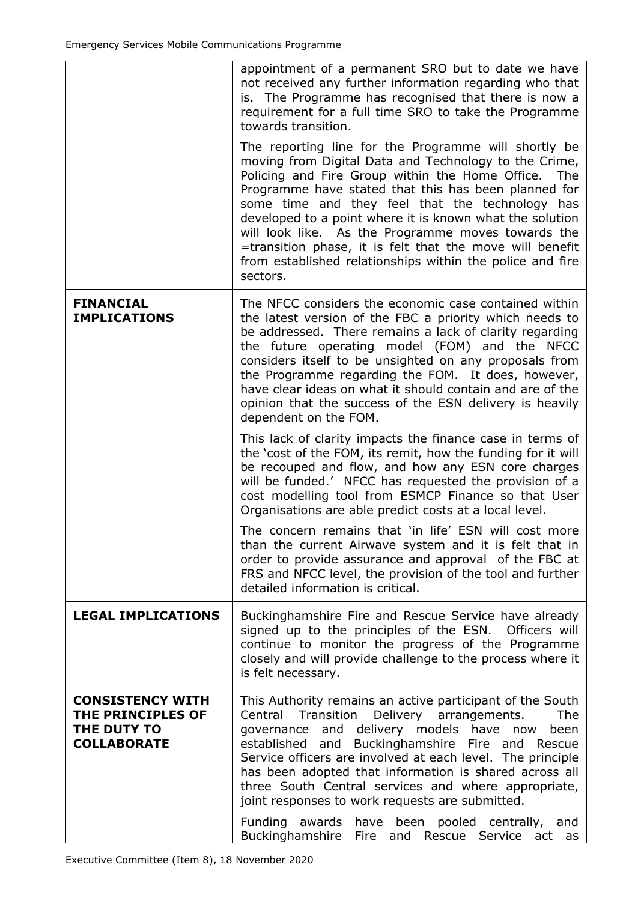|                                                                                   | appointment of a permanent SRO but to date we have<br>not received any further information regarding who that<br>is. The Programme has recognised that there is now a<br>requirement for a full time SRO to take the Programme<br>towards transition.                                                                                                                                                                                                                                                                                     |
|-----------------------------------------------------------------------------------|-------------------------------------------------------------------------------------------------------------------------------------------------------------------------------------------------------------------------------------------------------------------------------------------------------------------------------------------------------------------------------------------------------------------------------------------------------------------------------------------------------------------------------------------|
|                                                                                   | The reporting line for the Programme will shortly be<br>moving from Digital Data and Technology to the Crime,<br>Policing and Fire Group within the Home Office.<br>The<br>Programme have stated that this has been planned for<br>some time and they feel that the technology has<br>developed to a point where it is known what the solution<br>will look like. As the Programme moves towards the<br>=transition phase, it is felt that the move will benefit<br>from established relationships within the police and fire<br>sectors. |
| <b>FINANCIAL</b><br><b>IMPLICATIONS</b>                                           | The NFCC considers the economic case contained within<br>the latest version of the FBC a priority which needs to<br>be addressed. There remains a lack of clarity regarding<br>the future operating model (FOM) and the NFCC<br>considers itself to be unsighted on any proposals from<br>the Programme regarding the FOM. It does, however,<br>have clear ideas on what it should contain and are of the<br>opinion that the success of the ESN delivery is heavily<br>dependent on the FOM.                                             |
|                                                                                   | This lack of clarity impacts the finance case in terms of<br>the 'cost of the FOM, its remit, how the funding for it will<br>be recouped and flow, and how any ESN core charges<br>will be funded.' NFCC has requested the provision of a<br>cost modelling tool from ESMCP Finance so that User<br>Organisations are able predict costs at a local level.                                                                                                                                                                                |
|                                                                                   | The concern remains that 'in life' ESN will cost more<br>than the current Airwave system and it is felt that in<br>order to provide assurance and approval of the FBC at<br>FRS and NFCC level, the provision of the tool and further<br>detailed information is critical.                                                                                                                                                                                                                                                                |
| <b>LEGAL IMPLICATIONS</b>                                                         | Buckinghamshire Fire and Rescue Service have already<br>signed up to the principles of the ESN. Officers will<br>continue to monitor the progress of the Programme<br>closely and will provide challenge to the process where it<br>is felt necessary.                                                                                                                                                                                                                                                                                    |
| <b>CONSISTENCY WITH</b><br>THE PRINCIPLES OF<br>THE DUTY TO<br><b>COLLABORATE</b> | This Authority remains an active participant of the South<br>Central<br>Transition<br>Delivery<br>arrangements.<br>The<br>governance and delivery models have now<br>been<br>and Buckinghamshire Fire and Rescue<br>established<br>Service officers are involved at each level. The principle<br>has been adopted that information is shared across all<br>three South Central services and where appropriate,<br>joint responses to work requests are submitted.<br>Funding awards<br>have been pooled centrally, and                    |
|                                                                                   | Buckinghamshire<br>Fire and<br>Rescue Service act as                                                                                                                                                                                                                                                                                                                                                                                                                                                                                      |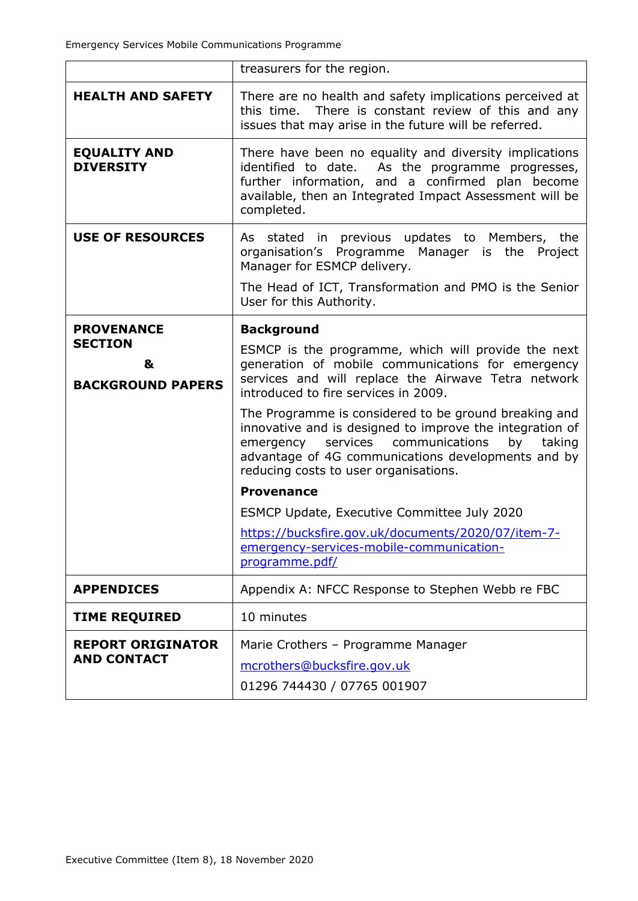|                                                 | treasurers for the region.                                                                                                                                                                                                                                            |
|-------------------------------------------------|-----------------------------------------------------------------------------------------------------------------------------------------------------------------------------------------------------------------------------------------------------------------------|
| <b>HEALTH AND SAFETY</b>                        | There are no health and safety implications perceived at<br>this time. There is constant review of this and any<br>issues that may arise in the future will be referred.                                                                                              |
| <b>EQUALITY AND</b><br><b>DIVERSITY</b>         | There have been no equality and diversity implications<br>identified to date. As the programme progresses,<br>further information, and a confirmed plan become<br>available, then an Integrated Impact Assessment will be<br>completed.                               |
| <b>USE OF RESOURCES</b>                         | As stated in previous updates to Members, the<br>organisation's Programme Manager is the Project<br>Manager for ESMCP delivery.                                                                                                                                       |
|                                                 | The Head of ICT, Transformation and PMO is the Senior<br>User for this Authority.                                                                                                                                                                                     |
| <b>PROVENANCE</b>                               | <b>Background</b>                                                                                                                                                                                                                                                     |
| <b>SECTION</b><br>&<br><b>BACKGROUND PAPERS</b> | ESMCP is the programme, which will provide the next<br>generation of mobile communications for emergency<br>services and will replace the Airwave Tetra network<br>introduced to fire services in 2009.                                                               |
|                                                 | The Programme is considered to be ground breaking and<br>innovative and is designed to improve the integration of<br>emergency services communications<br>by<br>taking<br>advantage of 4G communications developments and by<br>reducing costs to user organisations. |
|                                                 | <b>Provenance</b>                                                                                                                                                                                                                                                     |
|                                                 | <b>ESMCP Update, Executive Committee July 2020</b>                                                                                                                                                                                                                    |
|                                                 | https://bucksfire.gov.uk/documents/2020/07/item-7-<br>emergency-services-mobile-communication-<br>programme.pdf/                                                                                                                                                      |
| <b>APPENDICES</b>                               | Appendix A: NFCC Response to Stephen Webb re FBC                                                                                                                                                                                                                      |
| <b>TIME REQUIRED</b>                            | 10 minutes                                                                                                                                                                                                                                                            |
| <b>REPORT ORIGINATOR</b><br><b>AND CONTACT</b>  | Marie Crothers - Programme Manager<br>mcrothers@bucksfire.gov.uk<br>01296 744430 / 07765 001907                                                                                                                                                                       |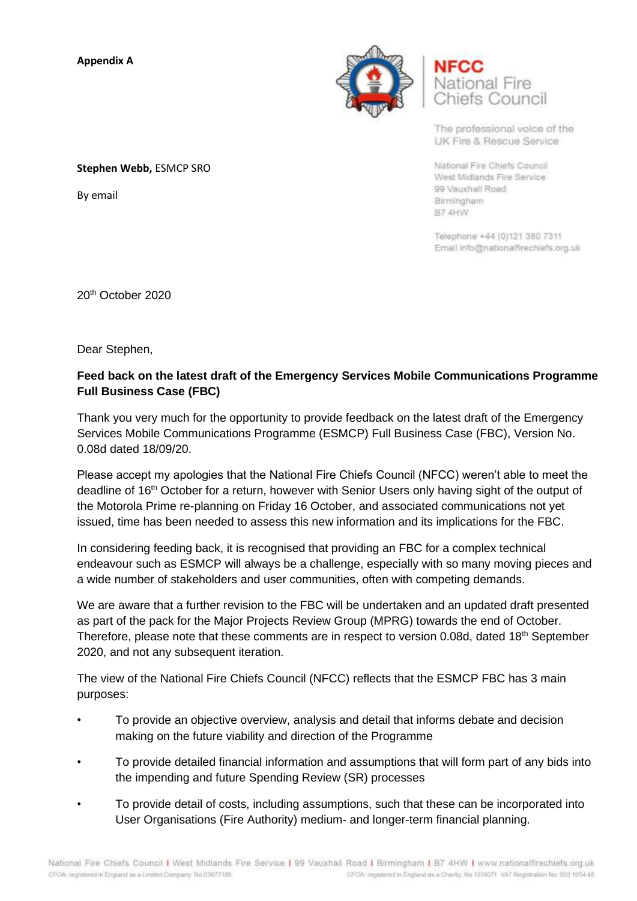**Appendix A**



**National Fire** Chiefs Council

The professional voice of the UK Fire & Rescue Service

National Fire Chiefs Council West Midlands Fire Service 99 Vauxhall Road Birmingham B7 4HW

Telephone +44 (0)121 380 7311 Email info@nationalfirechiefs.org.uk

20th October 2020

Dear Stephen,

# **Feed back on the latest draft of the Emergency Services Mobile Communications Programme Full Business Case (FBC)**

Thank you very much for the opportunity to provide feedback on the latest draft of the Emergency Services Mobile Communications Programme (ESMCP) Full Business Case (FBC), Version No. 0.08d dated 18/09/20.

Please accept my apologies that the National Fire Chiefs Council (NFCC) weren't able to meet the deadline of 16<sup>th</sup> October for a return, however with Senior Users only having sight of the output of the Motorola Prime re-planning on Friday 16 October, and associated communications not yet issued, time has been needed to assess this new information and its implications for the FBC.

In considering feeding back, it is recognised that providing an FBC for a complex technical endeavour such as ESMCP will always be a challenge, especially with so many moving pieces and a wide number of stakeholders and user communities, often with competing demands.

We are aware that a further revision to the FBC will be undertaken and an updated draft presented as part of the pack for the Major Projects Review Group (MPRG) towards the end of October. Therefore, please note that these comments are in respect to version 0.08d, dated  $18<sup>th</sup>$  September 2020, and not any subsequent iteration.

The view of the National Fire Chiefs Council (NFCC) reflects that the ESMCP FBC has 3 main purposes:

- To provide an objective overview, analysis and detail that informs debate and decision making on the future viability and direction of the Programme
- To provide detailed financial information and assumptions that will form part of any bids into the impending and future Spending Review (SR) processes
- To provide detail of costs, including assumptions, such that these can be incorporated into User Organisations (Fire Authority) medium- and longer-term financial planning.

**Stephen Webb,** ESMCP SRO

By email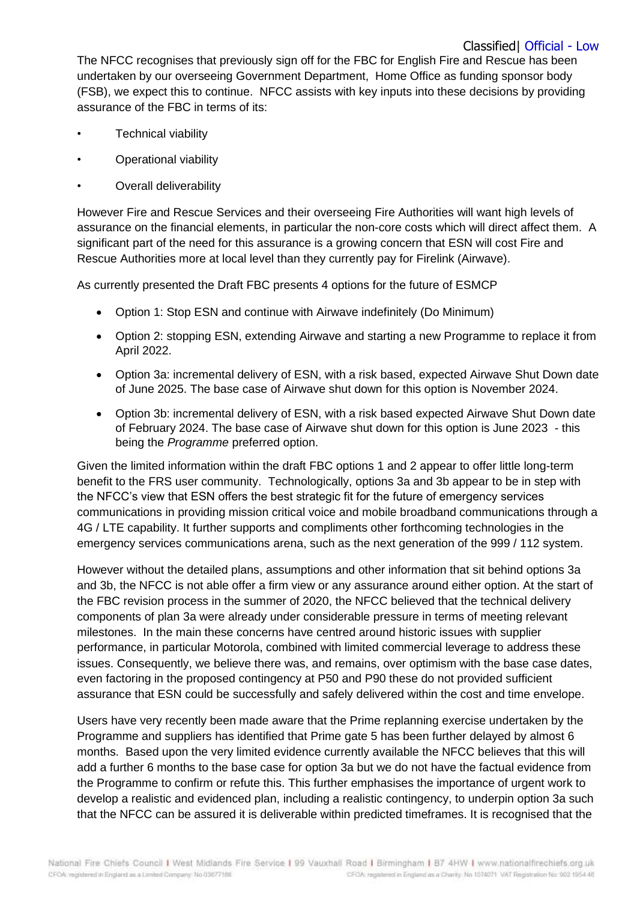## Classified| Official - Low

The NFCC recognises that previously sign off for the FBC for English Fire and Rescue has been undertaken by our overseeing Government Department, Home Office as funding sponsor body (FSB), we expect this to continue. NFCC assists with key inputs into these decisions by providing assurance of the FBC in terms of its:

- Technical viability
- Operational viability
- Overall deliverability

However Fire and Rescue Services and their overseeing Fire Authorities will want high levels of assurance on the financial elements, in particular the non-core costs which will direct affect them. A significant part of the need for this assurance is a growing concern that ESN will cost Fire and Rescue Authorities more at local level than they currently pay for Firelink (Airwave).

As currently presented the Draft FBC presents 4 options for the future of ESMCP

- Option 1: Stop ESN and continue with Airwave indefinitely (Do Minimum)
- Option 2: stopping ESN, extending Airwave and starting a new Programme to replace it from April 2022.
- Option 3a: incremental delivery of ESN, with a risk based, expected Airwave Shut Down date of June 2025. The base case of Airwave shut down for this option is November 2024.
- Option 3b: incremental delivery of ESN, with a risk based expected Airwave Shut Down date of February 2024. The base case of Airwave shut down for this option is June 2023 - this being the *Programme* preferred option.

Given the limited information within the draft FBC options 1 and 2 appear to offer little long-term benefit to the FRS user community. Technologically, options 3a and 3b appear to be in step with the NFCC's view that ESN offers the best strategic fit for the future of emergency services communications in providing mission critical voice and mobile broadband communications through a 4G / LTE capability. It further supports and compliments other forthcoming technologies in the emergency services communications arena, such as the next generation of the 999 / 112 system.

However without the detailed plans, assumptions and other information that sit behind options 3a and 3b, the NFCC is not able offer a firm view or any assurance around either option. At the start of the FBC revision process in the summer of 2020, the NFCC believed that the technical delivery components of plan 3a were already under considerable pressure in terms of meeting relevant milestones. In the main these concerns have centred around historic issues with supplier performance, in particular Motorola, combined with limited commercial leverage to address these issues. Consequently, we believe there was, and remains, over optimism with the base case dates, even factoring in the proposed contingency at P50 and P90 these do not provided sufficient assurance that ESN could be successfully and safely delivered within the cost and time envelope.

Users have very recently been made aware that the Prime replanning exercise undertaken by the Programme and suppliers has identified that Prime gate 5 has been further delayed by almost 6 months. Based upon the very limited evidence currently available the NFCC believes that this will add a further 6 months to the base case for option 3a but we do not have the factual evidence from the Programme to confirm or refute this. This further emphasises the importance of urgent work to develop a realistic and evidenced plan, including a realistic contingency, to underpin option 3a such that the NFCC can be assured it is deliverable within predicted timeframes. It is recognised that the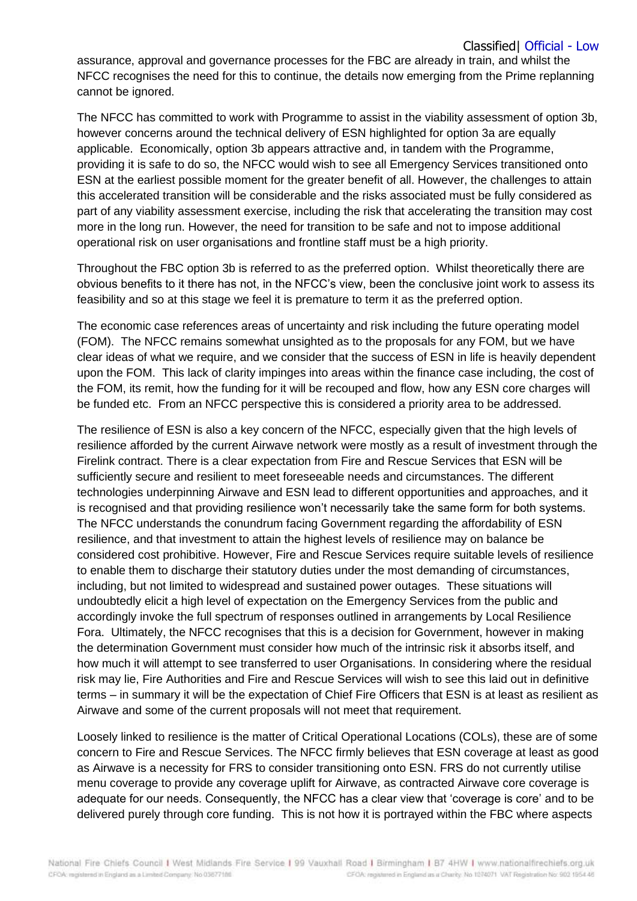## Classified| Official - Low

assurance, approval and governance processes for the FBC are already in train, and whilst the NFCC recognises the need for this to continue, the details now emerging from the Prime replanning cannot be ignored.

The NFCC has committed to work with Programme to assist in the viability assessment of option 3b, however concerns around the technical delivery of ESN highlighted for option 3a are equally applicable. Economically, option 3b appears attractive and, in tandem with the Programme, providing it is safe to do so, the NFCC would wish to see all Emergency Services transitioned onto ESN at the earliest possible moment for the greater benefit of all. However, the challenges to attain this accelerated transition will be considerable and the risks associated must be fully considered as part of any viability assessment exercise, including the risk that accelerating the transition may cost more in the long run. However, the need for transition to be safe and not to impose additional operational risk on user organisations and frontline staff must be a high priority.

Throughout the FBC option 3b is referred to as the preferred option. Whilst theoretically there are obvious benefits to it there has not, in the NFCC's view, been the conclusive joint work to assess its feasibility and so at this stage we feel it is premature to term it as the preferred option.

The economic case references areas of uncertainty and risk including the future operating model (FOM). The NFCC remains somewhat unsighted as to the proposals for any FOM, but we have clear ideas of what we require, and we consider that the success of ESN in life is heavily dependent upon the FOM. This lack of clarity impinges into areas within the finance case including, the cost of the FOM, its remit, how the funding for it will be recouped and flow, how any ESN core charges will be funded etc. From an NFCC perspective this is considered a priority area to be addressed.

The resilience of ESN is also a key concern of the NFCC, especially given that the high levels of resilience afforded by the current Airwave network were mostly as a result of investment through the Firelink contract. There is a clear expectation from Fire and Rescue Services that ESN will be sufficiently secure and resilient to meet foreseeable needs and circumstances. The different technologies underpinning Airwave and ESN lead to different opportunities and approaches, and it is recognised and that providing resilience won't necessarily take the same form for both systems. The NFCC understands the conundrum facing Government regarding the affordability of ESN resilience, and that investment to attain the highest levels of resilience may on balance be considered cost prohibitive. However, Fire and Rescue Services require suitable levels of resilience to enable them to discharge their statutory duties under the most demanding of circumstances, including, but not limited to widespread and sustained power outages. These situations will undoubtedly elicit a high level of expectation on the Emergency Services from the public and accordingly invoke the full spectrum of responses outlined in arrangements by Local Resilience Fora. Ultimately, the NFCC recognises that this is a decision for Government, however in making the determination Government must consider how much of the intrinsic risk it absorbs itself, and how much it will attempt to see transferred to user Organisations. In considering where the residual risk may lie, Fire Authorities and Fire and Rescue Services will wish to see this laid out in definitive terms – in summary it will be the expectation of Chief Fire Officers that ESN is at least as resilient as Airwave and some of the current proposals will not meet that requirement.

Loosely linked to resilience is the matter of Critical Operational Locations (COLs), these are of some concern to Fire and Rescue Services. The NFCC firmly believes that ESN coverage at least as good as Airwave is a necessity for FRS to consider transitioning onto ESN. FRS do not currently utilise menu coverage to provide any coverage uplift for Airwave, as contracted Airwave core coverage is adequate for our needs. Consequently, the NFCC has a clear view that 'coverage is core' and to be delivered purely through core funding. This is not how it is portrayed within the FBC where aspects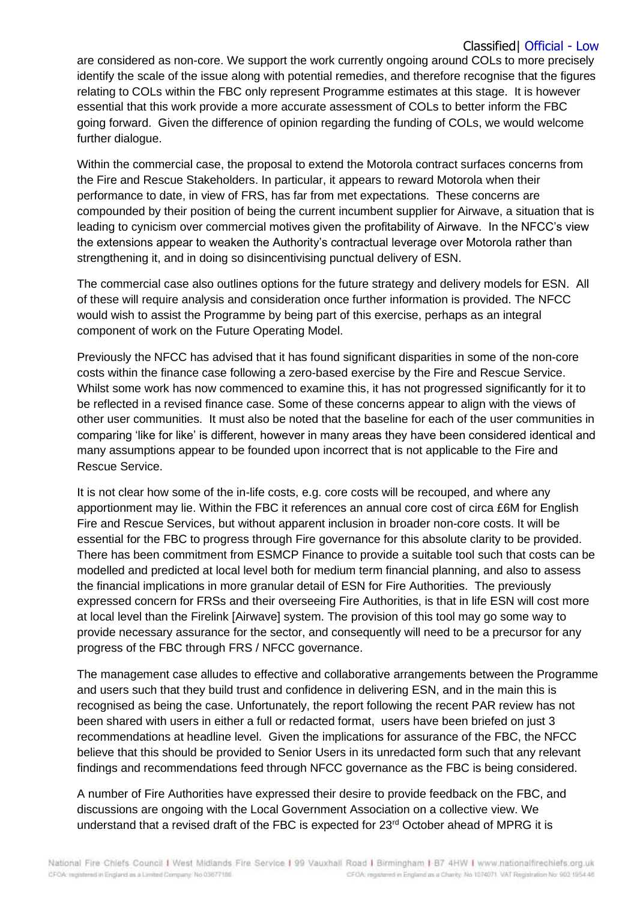## Classified| Official - Low

are considered as non-core. We support the work currently ongoing around COLs to more precisely identify the scale of the issue along with potential remedies, and therefore recognise that the figures relating to COLs within the FBC only represent Programme estimates at this stage. It is however essential that this work provide a more accurate assessment of COLs to better inform the FBC going forward. Given the difference of opinion regarding the funding of COLs, we would welcome further dialogue.

Within the commercial case, the proposal to extend the Motorola contract surfaces concerns from the Fire and Rescue Stakeholders. In particular, it appears to reward Motorola when their performance to date, in view of FRS, has far from met expectations. These concerns are compounded by their position of being the current incumbent supplier for Airwave, a situation that is leading to cynicism over commercial motives given the profitability of Airwave. In the NFCC's view the extensions appear to weaken the Authority's contractual leverage over Motorola rather than strengthening it, and in doing so disincentivising punctual delivery of ESN.

The commercial case also outlines options for the future strategy and delivery models for ESN. All of these will require analysis and consideration once further information is provided. The NFCC would wish to assist the Programme by being part of this exercise, perhaps as an integral component of work on the Future Operating Model.

Previously the NFCC has advised that it has found significant disparities in some of the non-core costs within the finance case following a zero-based exercise by the Fire and Rescue Service. Whilst some work has now commenced to examine this, it has not progressed significantly for it to be reflected in a revised finance case. Some of these concerns appear to align with the views of other user communities. It must also be noted that the baseline for each of the user communities in comparing 'like for like' is different, however in many areas they have been considered identical and many assumptions appear to be founded upon incorrect that is not applicable to the Fire and Rescue Service.

It is not clear how some of the in-life costs, e.g. core costs will be recouped, and where any apportionment may lie. Within the FBC it references an annual core cost of circa £6M for English Fire and Rescue Services, but without apparent inclusion in broader non-core costs. It will be essential for the FBC to progress through Fire governance for this absolute clarity to be provided. There has been commitment from ESMCP Finance to provide a suitable tool such that costs can be modelled and predicted at local level both for medium term financial planning, and also to assess the financial implications in more granular detail of ESN for Fire Authorities. The previously expressed concern for FRSs and their overseeing Fire Authorities, is that in life ESN will cost more at local level than the Firelink [Airwave] system. The provision of this tool may go some way to provide necessary assurance for the sector, and consequently will need to be a precursor for any progress of the FBC through FRS / NFCC governance.

The management case alludes to effective and collaborative arrangements between the Programme and users such that they build trust and confidence in delivering ESN, and in the main this is recognised as being the case. Unfortunately, the report following the recent PAR review has not been shared with users in either a full or redacted format, users have been briefed on just 3 recommendations at headline level. Given the implications for assurance of the FBC, the NFCC believe that this should be provided to Senior Users in its unredacted form such that any relevant findings and recommendations feed through NFCC governance as the FBC is being considered.

A number of Fire Authorities have expressed their desire to provide feedback on the FBC, and discussions are ongoing with the Local Government Association on a collective view. We understand that a revised draft of the FBC is expected for 23<sup>rd</sup> October ahead of MPRG it is